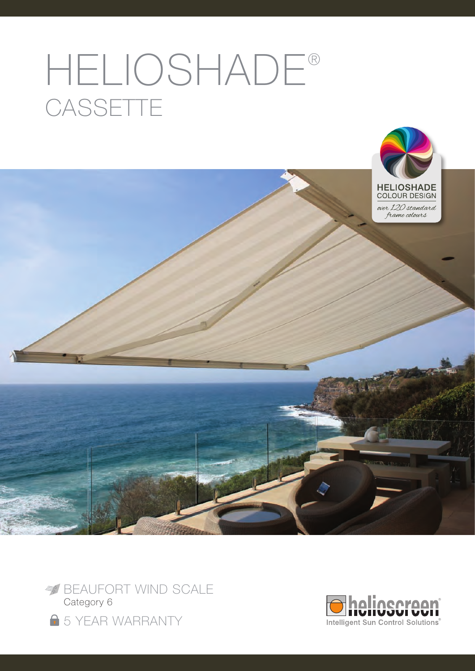# HELIOSHADE® **CASSETTE**





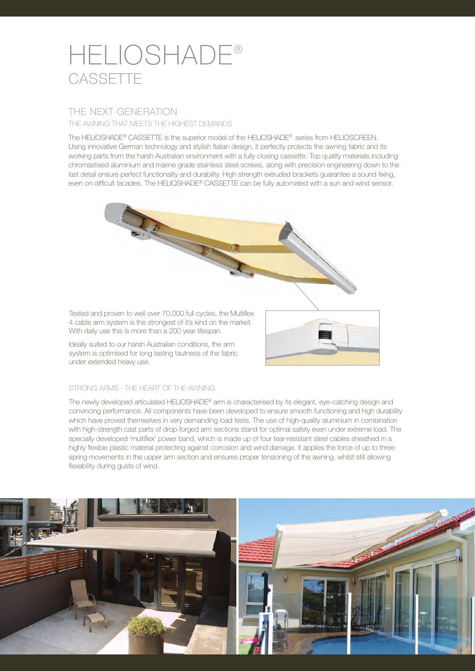# HELIOSHADE® **CASSETTE**

# THE NEXT GENERATION

THE AWNING THAT MEETS THE HIGHEST DEMANDS

The HELIOSHADE® CASSETTE is the superior model of the HELIOSHADE® series from HELIOSCREEN. Using innovative German technology and stylish Italian design, it perfectly protects the awning fabric and its working parts from the harsh Australian environment with a fully closing cassette. Top quality materials including chromastised aluminium and marine grade stainless steel screws, along with precision engineering down to the last detail ensure perfect functionality and durability. High strength extruded brackets guarantee a sound fixing, even on difficult facades. The HELIOSHADE® CASSETTE can be fully automated with a sun and wind sensor.



Tested and proven to well over 70,000 full cycles, the Multiflex 4 cable arm system is the strongest of it's kind on the market. With daily use this is more than a 200 year lifespan.

Ideally suited to our harsh Australian conditions, the arm system is optimised for long lasting tautness of the fabric under extended heavy use.



### STRONG ARMS - THE HEART OF THE AWNING

The newly developed articulated HELIOSHADE® arm is characterised by its elegant, eye-catching design and convincing performance. All components have been developed to ensure smooth functioning and high durability which have proved themselves in very demanding load tests. The use of high-quality aluminium in combination with high-strength cast parts of drop-forged arm sections stand for optimal safety even under extreme load. The specially developed 'multiflex' power band, which is made up of four tear-resistant steel cables sheathed in a highly flexible plastic material protecting against corrosion and wind damage. It applies the force of up to three spring movements in the upper arm section and ensures proper tensioning of the awning, whilst still allowing flexability during gusts of wind.

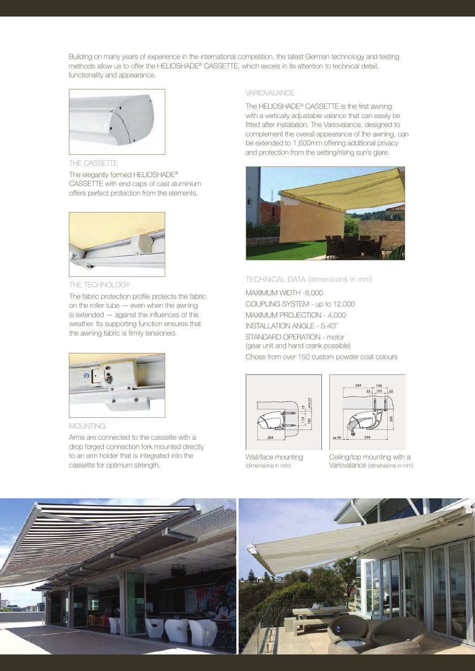Building on many years of experience in the international competition, the latest German technology and testing methods allow us to offer the HELIOSHADE® CASSETTE, which excels in its attention to technical detail, functionality and appearance.



THE CASSETTE

The elegantly formed HELIOSHADE® CASSETTE with end caps of cast aluminium offers perfect protection from the elements.



THE TECHNOLOGY

The fabric protection profile protects the fabric on the roller tube — even when the awning is extended — against the influences of the weather. Its supporting function ensures that the awning fabric is firmly tensioned.



MOLINTING

Arms are connected to the cassette with a drop forged connection fork mounted directly to an arm holder that is integrated into the cassette for optimum strength.

#### **VARIOVALANCE**

The HELIOSHADE® CASSETTE is the first awning with a vertically adjustable valance that can easily be fitted after installation. The Variovalance, designed to complement the overall appearance of the awning, can be extended to 1,600mm offering additional privacy and protection from the setting/rising sun's glare.



#### TECHNICAL DATA (dimensions in mm)

MAXIMUM WIDTH -8,000 COUPLING SYSTEM - up to 12,000 MAXIMUM PROJECTION - 4,000  $INSTALLATION ANGLE -  $5-40^{\circ}$$ STANDARD OPERATION - motor (gear unit and hand crank possible) Chose from over 150 custom powder coat colours



Wall/face mounting (dimensions in mm)



Ceiling/top mounting with a Variovalance (dimensions in mm)